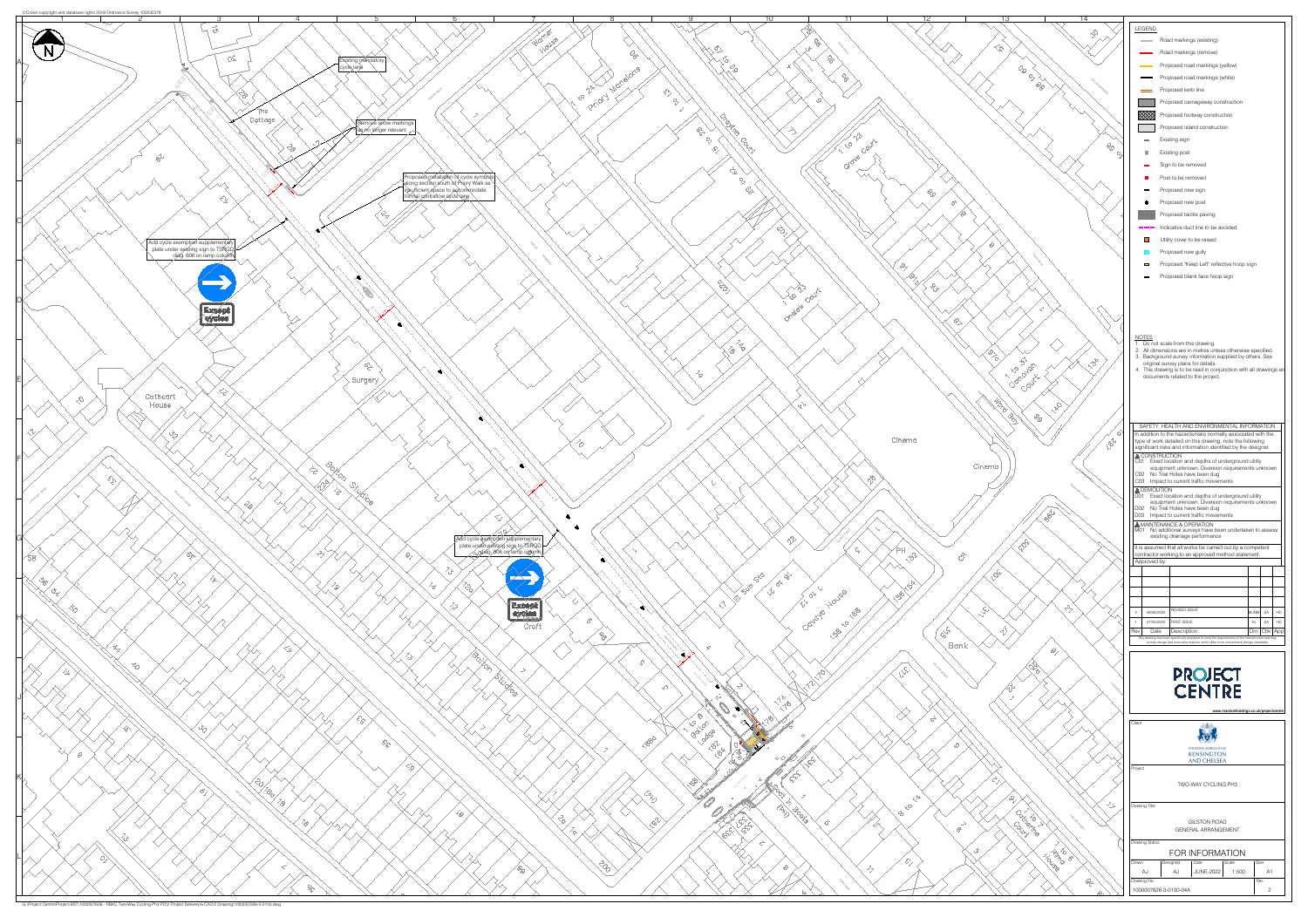

G:\Project Centre\Project-BST\1000007626 - RBKC Two-Way Cycling Ph3 PD\2 Project Delivery\6 CAD\2 Drawing\1000007626-3-0100.dwg